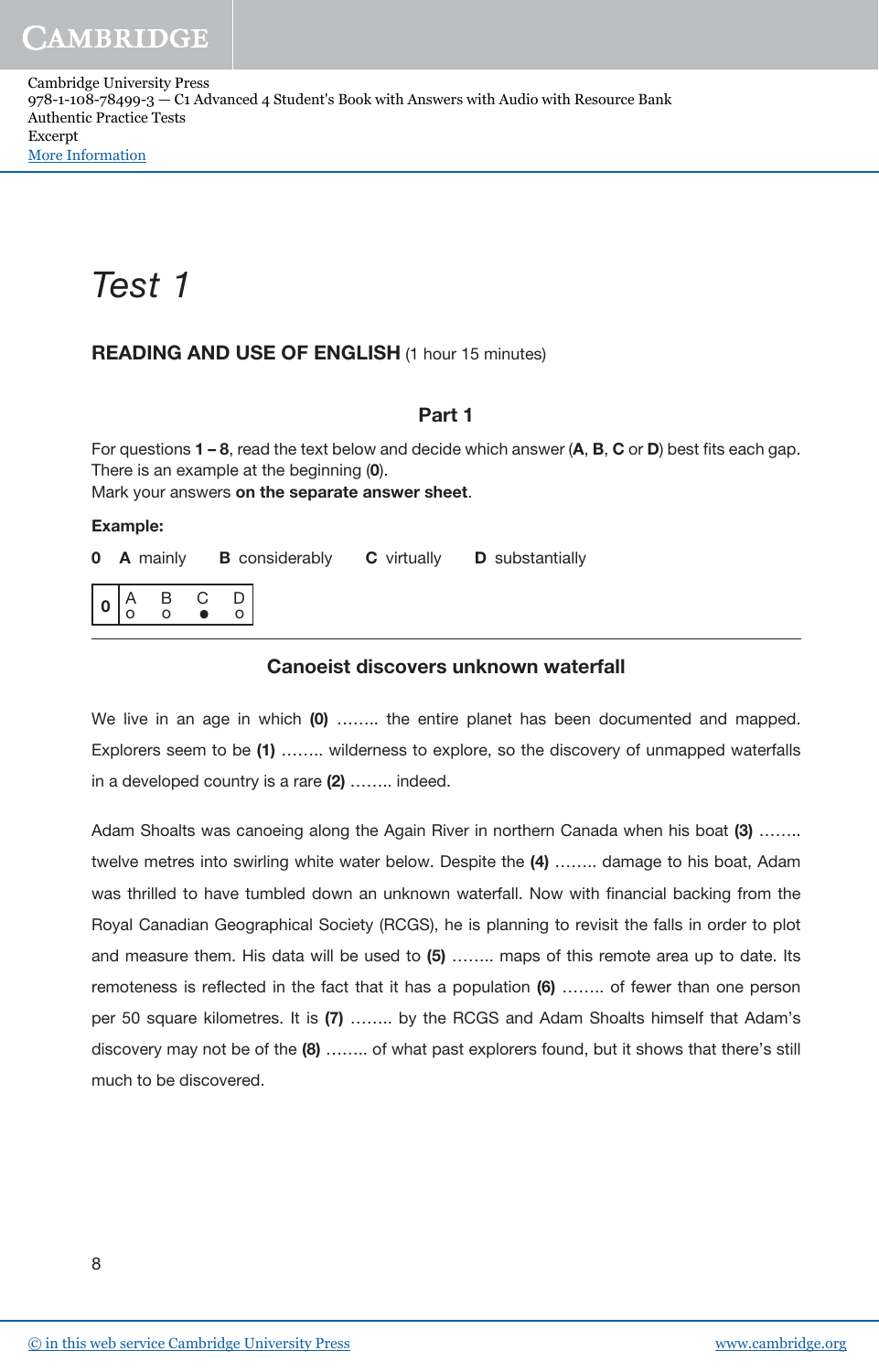Cambridge University Press 978-1-108-78499-3 — C1 Advanced 4 Student's Book with Answers with Audio with Resource Bank Authentic Practice Tests Excerpt [More Information](www.cambridge.org/9781108784993)

# Test 1

## READING AND USE OF ENGLISH (1 hour 15 minutes)

## Part 1

For questions  $1 - 8$ , read the text below and decide which answer  $(A, B, C \text{ or } D)$  best fits each gap. There is an example at the beginning (0).

Mark your answers on the separate answer sheet.

#### Example:

|  | <b>0</b> A mainly <b>B</b> considerably <b>C</b> virtually <b>D</b> substantially |  |
|--|-----------------------------------------------------------------------------------|--|
|  |                                                                                   |  |

#### Canoeist discovers unknown waterfall

We live in an age in which (0) ........ the entire planet has been documented and mapped. Explorers seem to be (1) …….. wilderness to explore, so the discovery of unmapped waterfalls in a developed country is a rare (2) ........ indeed.

Adam Shoalts was canoeing along the Again River in northern Canada when his boat (3) …….. twelve metres into swirling white water below. Despite the (4) …….. damage to his boat, Adam was thrilled to have tumbled down an unknown waterfall. Now with financial backing from the Royal Canadian Geographical Society (RCGS), he is planning to revisit the falls in order to plot and measure them. His data will be used to (5) …….. maps of this remote area up to date. Its remoteness is reflected in the fact that it has a population (6) …….. of fewer than one person per 50 square kilometres. It is (7) …….. by the RCGS and Adam Shoalts himself that Adam's discovery may not be of the (8) …….. of what past explorers found, but it shows that there's still much to be discovered.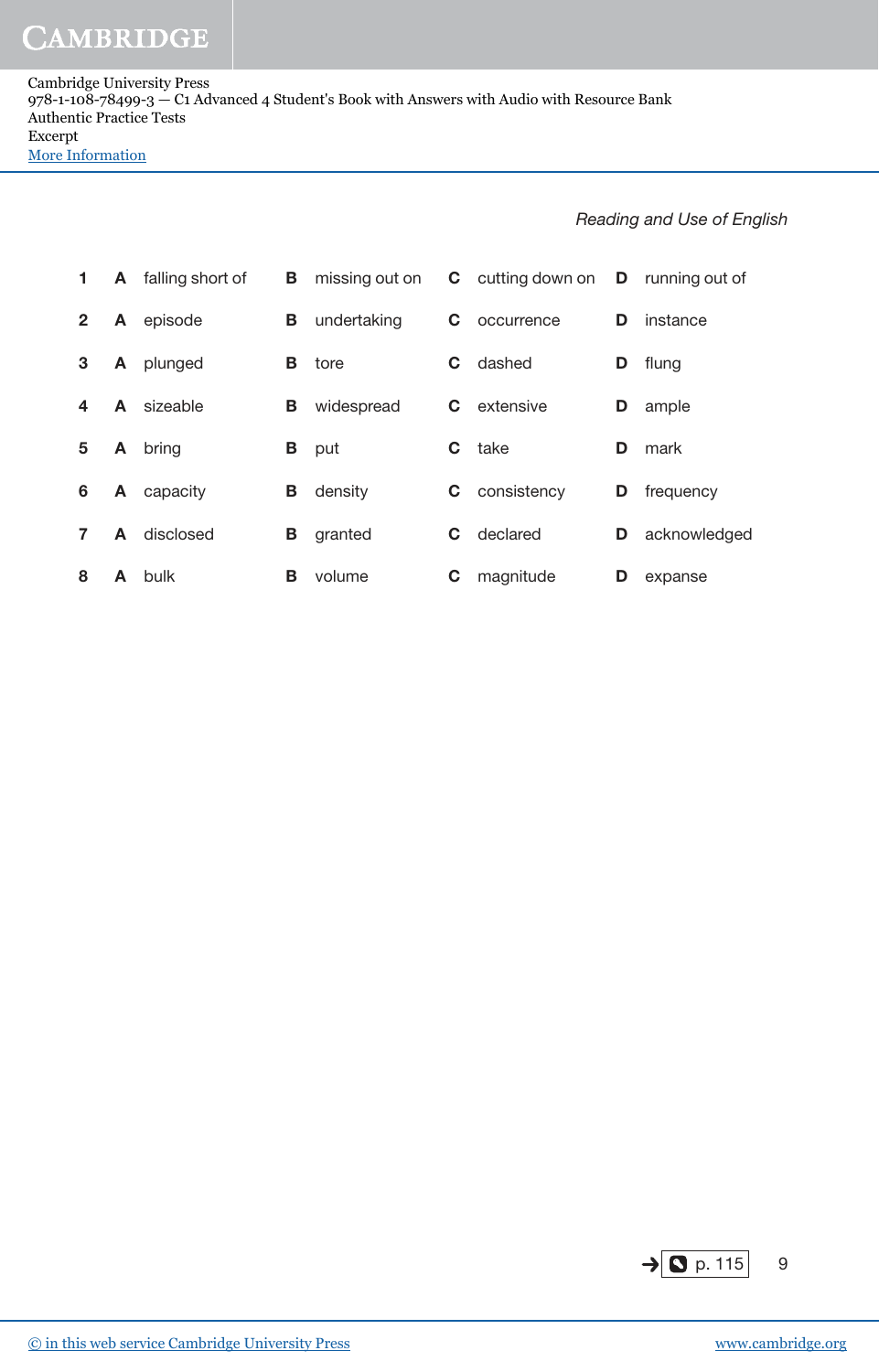Cambridge University Press 978-1-108-78499-3 — C1 Advanced 4 Student's Book with Answers with Audio with Resource Bank Authentic Practice Tests Excerpt [More Information](www.cambridge.org/9781108784993)

### Reading and Use of English

| 1            | A | falling short of | в. | missing out on |   | <b>C</b> cutting down on <b>D</b> running out of |    |              |
|--------------|---|------------------|----|----------------|---|--------------------------------------------------|----|--------------|
| $\mathbf{2}$ | A | episode          | В  | undertaking    | С | occurrence                                       | D. | instance     |
| 3            | A | plunged          | В  | tore           | С | dashed                                           | D  | flung        |
| 4            | A | sizeable         | В  | widespread     | C | extensive                                        | D  | ample        |
| 5            | A | bring            | В  | put            | C | take                                             | D  | mark         |
| 6            | A | capacity         | В  | density        | С | consistency                                      | D  | frequency    |
|              | A | disclosed        | В  | granted        | С | declared                                         | D  | acknowledged |
| 8            | A | bulk             | В  | volume         | С | magnitude                                        | D  | expanse      |

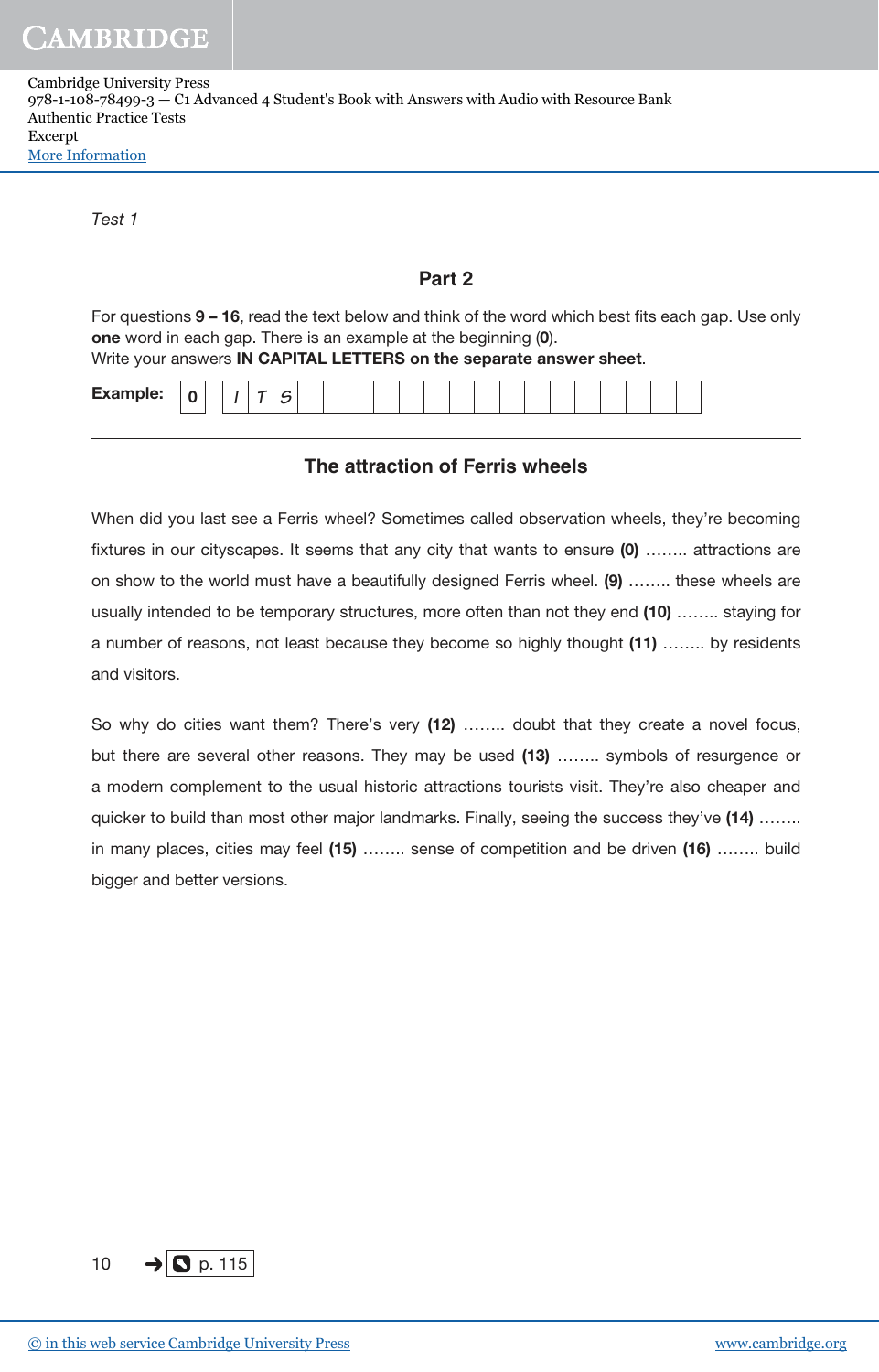| Cambridge University Press                                                                  |
|---------------------------------------------------------------------------------------------|
| 978-1-108-78499-3 — C1 Advanced 4 Student's Book with Answers with Audio with Resource Bank |
| Authentic Practice Tests                                                                    |
| Excerpt                                                                                     |
| More Information                                                                            |

Test 1

### **Part 2**

For questions 9 – 16, read the text below and think of the word which best fits each gap. Use only one word in each gap. There is an example at the beginning (0).

|  |  |  | Write your answers IN CAPITAL LETTERS on the separate answer sheet. |  |
|--|--|--|---------------------------------------------------------------------|--|
|--|--|--|---------------------------------------------------------------------|--|

| <b>Example:</b><br>$\sqrt{2}$<br>- |
|------------------------------------|
|------------------------------------|

## **The attraction of Ferris wheels**

When did you last see a Ferris wheel? Sometimes called observation wheels, they're becoming fixtures in our cityscapes. It seems that any city that wants to ensure (0) …….. attractions are on show to the world must have a beautifully designed Ferris wheel. (9) …….. these wheels are usually intended to be temporary structures, more often than not they end (10) …….. staying for a number of reasons, not least because they become so highly thought (11) …….. by residents and visitors.

So why do cities want them? There's very (12) ........ doubt that they create a novel focus, but there are several other reasons. They may be used (13) …….. symbols of resurgence or a modern complement to the usual historic attractions tourists visit. They're also cheaper and quicker to build than most other major landmarks. Finally, seeing the success they've (14) …….. in many places, cities may feel (15) …….. sense of competition and be driven (16) …….. build bigger and better versions.

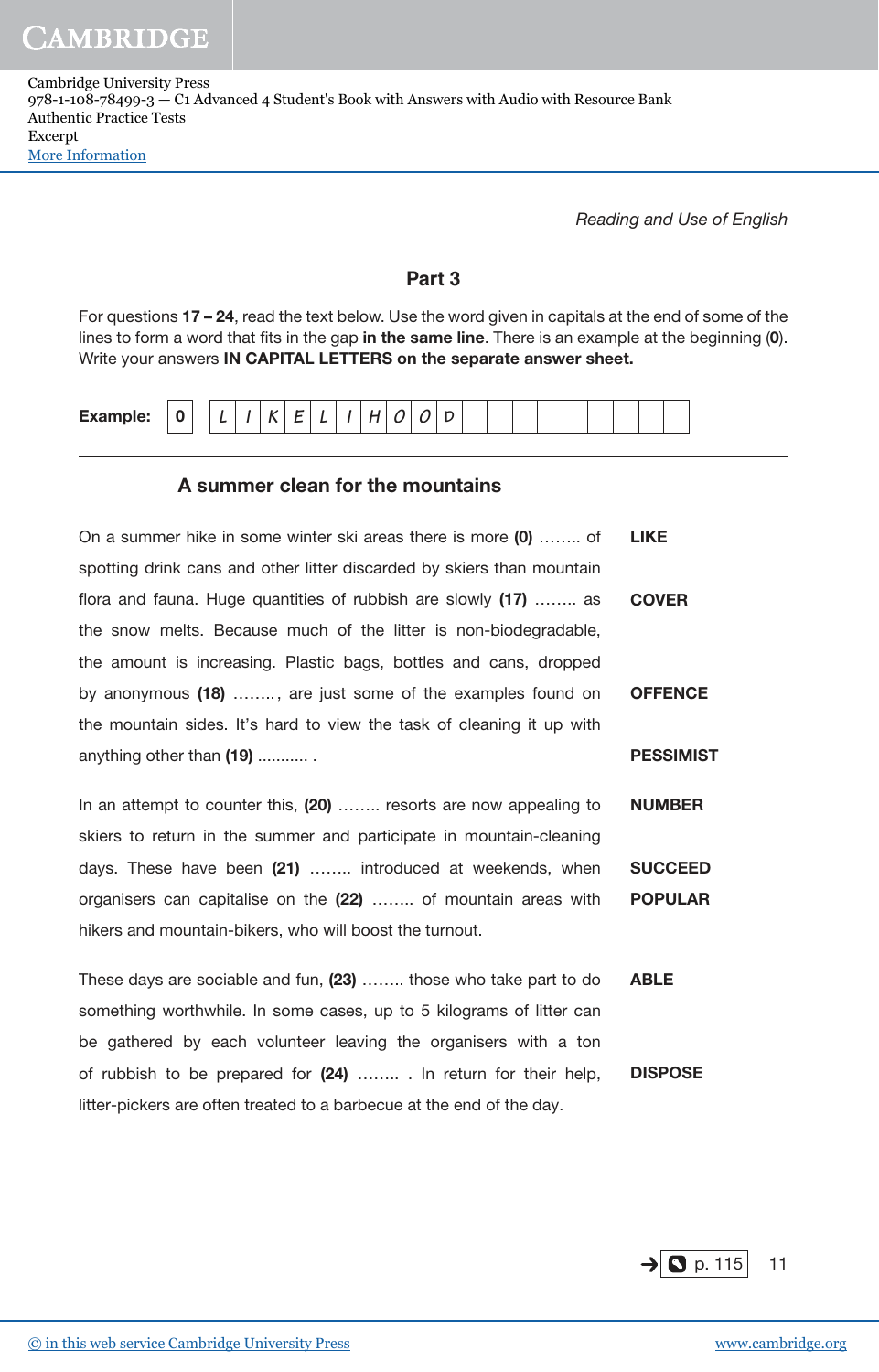Cambridge University Press 978-1-108-78499-3 — C1 Advanced 4 Student's Book with Answers with Audio with Resource Bank Authentic Practice Tests Excerpt [More Information](www.cambridge.org/9781108784993)

Reading and Use of English

## **Part 3**

For questions 17 – 24, read the text below. Use the word given in capitals at the end of some of the lines to form a word that fits in the gap in the same line. There is an example at the beginning  $(0)$ . Write your answers IN CAPITAL LETTERS on the separate answer sheet.

| Evansel<br>Example: | $\overline{ }$<br>U |  |  |  |  |  |  |  |  |  |  |  |
|---------------------|---------------------|--|--|--|--|--|--|--|--|--|--|--|
|                     |                     |  |  |  |  |  |  |  |  |  |  |  |

## A summer clean for the mountains

| On a summer hike in some winter ski areas there is more (0)  of        | <b>LIKE</b>      |
|------------------------------------------------------------------------|------------------|
| spotting drink cans and other litter discarded by skiers than mountain |                  |
| flora and fauna. Huge quantities of rubbish are slowly (17)  as        | <b>COVER</b>     |
| the snow melts. Because much of the litter is non-biodegradable,       |                  |
| the amount is increasing. Plastic bags, bottles and cans, dropped      |                  |
| by anonymous (18) , are just some of the examples found on             | <b>OFFENCE</b>   |
| the mountain sides. It's hard to view the task of cleaning it up with  |                  |
| anything other than (19)                                               | <b>PESSIMIST</b> |
|                                                                        |                  |
| In an attempt to counter this, (20)  resorts are now appealing to      | <b>NUMBER</b>    |

skiers to return in the summer and participate in mountain-cleaning days. These have been (21) ........ introduced at weekends, when organisers can capitalise on the (22) …….. of mountain areas with hikers and mountain-bikers, who will boost the turnout. **SUCCEED** POPULAR

These days are sociable and fun, (23) …….. those who take part to do something worthwhile. In some cases, up to 5 kilograms of litter can be gathered by each volunteer leaving the organisers with a ton of rubbish to be prepared for (24) ........ . In return for their help, litter-pickers are often treated to a barbecue at the end of the day. ABLE DISPOSE

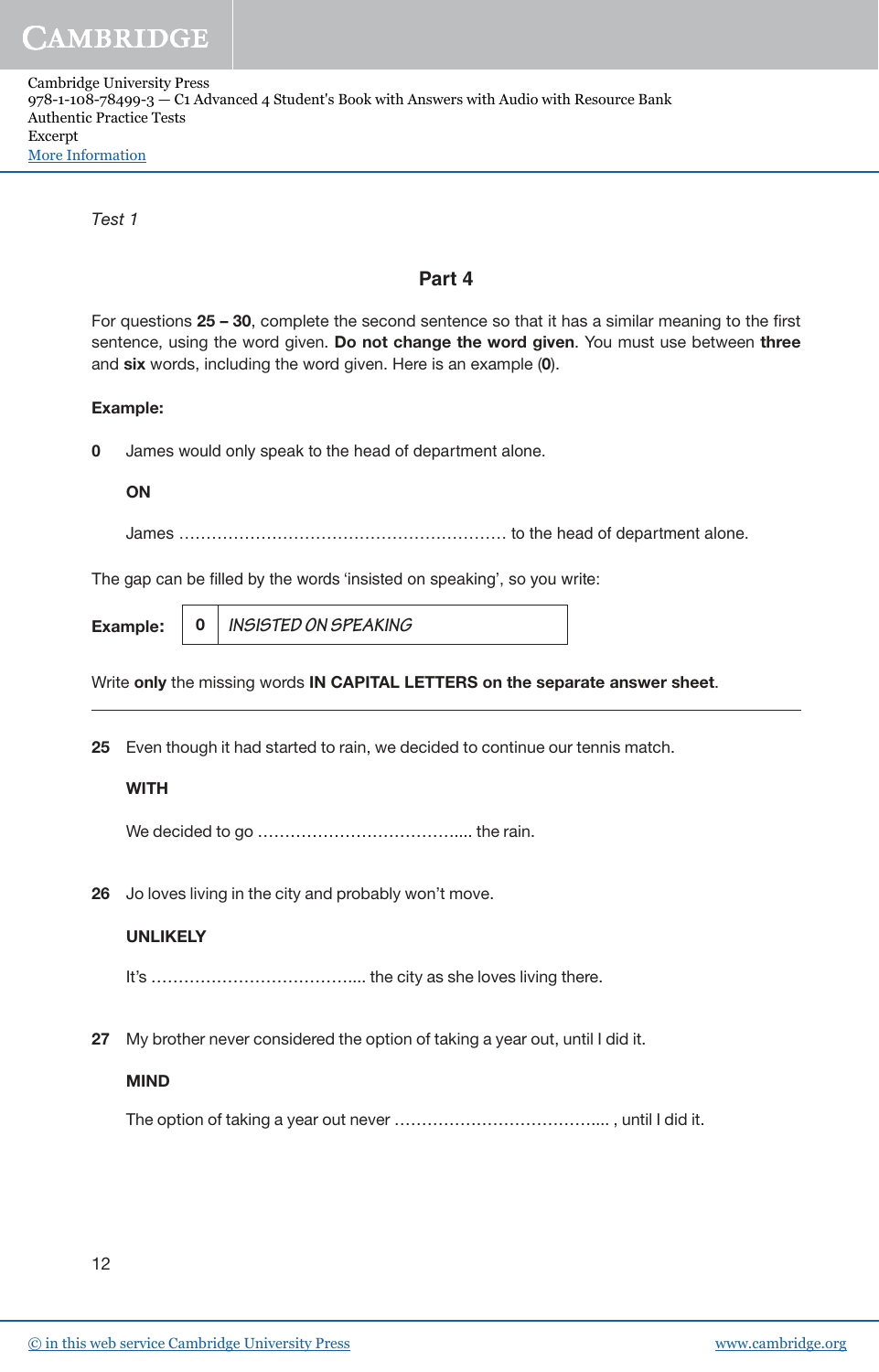| Cambridge University Press                                                                  |
|---------------------------------------------------------------------------------------------|
| 978-1-108-78499-3 — C1 Advanced 4 Student's Book with Answers with Audio with Resource Bank |
| Authentic Practice Tests                                                                    |
| Excerpt                                                                                     |
| More Information                                                                            |

Test 1

## **Part 4**

For questions 25 – 30, complete the second sentence so that it has a similar meaning to the first sentence, using the word given. Do not change the word given. You must use between three and six words, including the word given. Here is an example (0).

#### Example:

**0** James would only speak to the head of department alone.

#### **ON**

James …………………………………………………… to the head of department alone.

The gap can be filled by the words 'insisted on speaking', so you write:

|--|

Write only the missing words IN CAPITAL LETTERS on the separate answer sheet.

25 Even though it had started to rain, we decided to continue our tennis match.

#### **WITH**

We decided to go ……………………………….... the rain.

26 Jo loves living in the city and probably won't move.

#### UNLIKELY

It's ……………………………….... the city as she loves living there.

27 My brother never considered the option of taking a year out, until I did it.

#### MIND

The option of taking a year out never ……………………………….... , until I did it.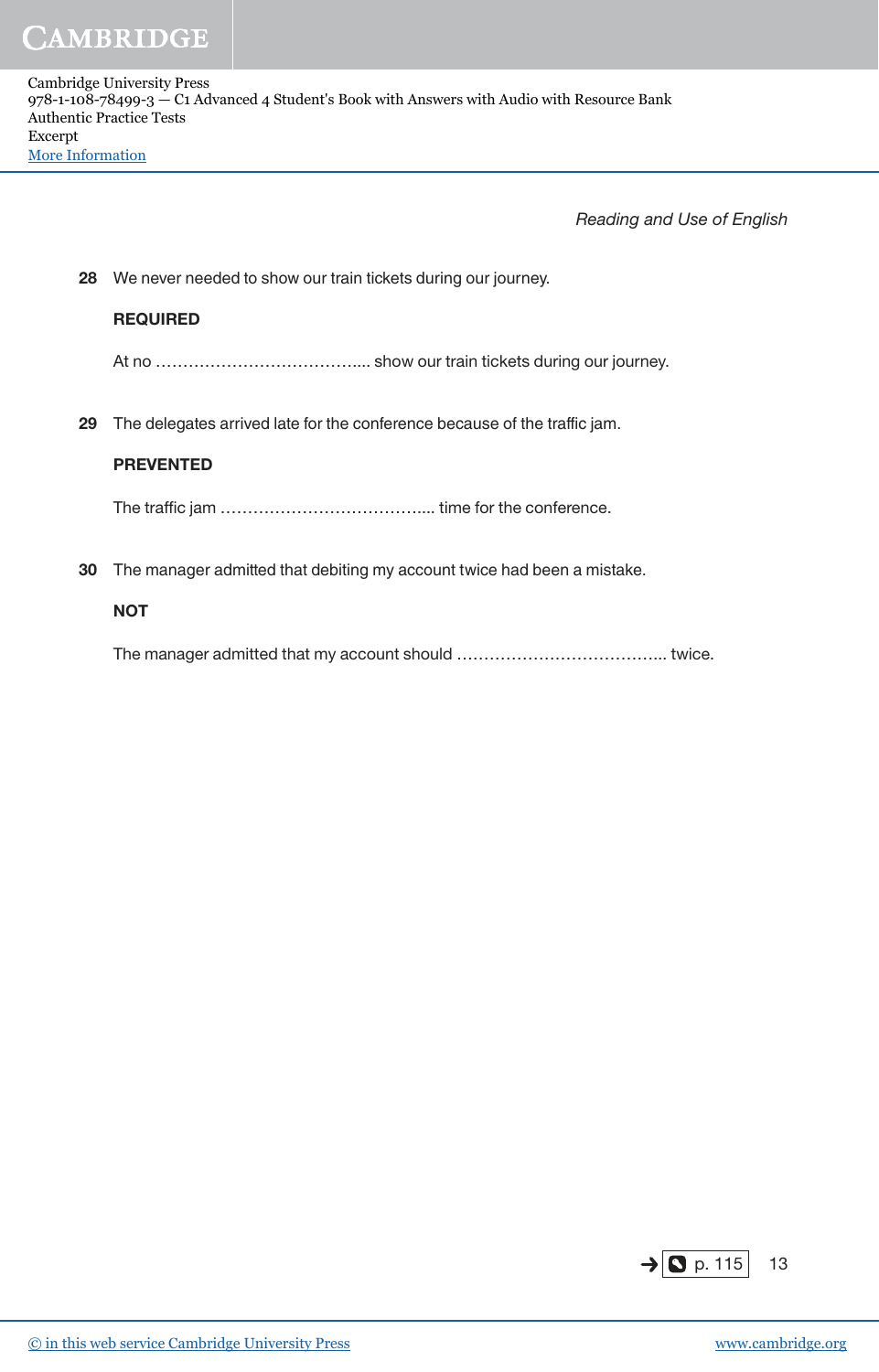Reading and Use of English

28 We never needed to show our train tickets during our journey.

#### REQUIRED

At no ……………………………….... show our train tickets during our journey.

29 The delegates arrived late for the conference because of the traffic jam.

#### PREVENTED

The traffic jam ……………………………….... time for the conference.

30 The manager admitted that debiting my account twice had been a mistake.

#### **NOT**

The manager admitted that my account should ………………………………... twice.

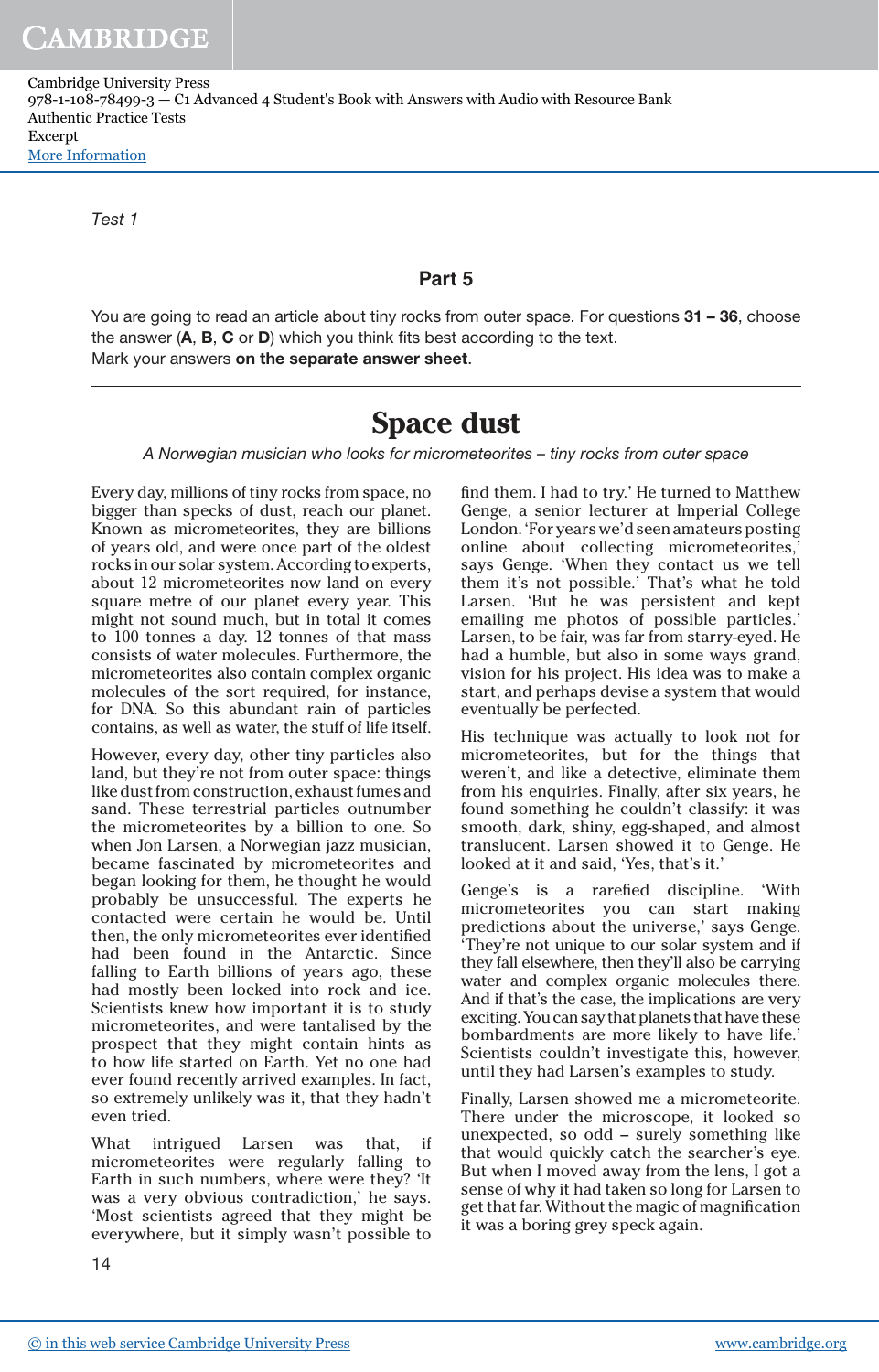Cambridge University Press 978-1-108-78499-3 — C1 Advanced 4 Student's Book with Answers with Audio with Resource Bank Authentic Practice Tests Excerpt [More Information](www.cambridge.org/9781108784993)

Test 1

## **Part 5**

You are going to read an article about tiny rocks from outer space. For questions 31 - 36, choose the answer (A, B, C or D) which you think fits best according to the text. Mark your answers on the separate answer sheet.

## **Space dust**

A Norwegian musician who looks for micrometeorites – tiny rocks from outer space

Every day, millions of tiny rocks from space, no bigger than specks of dust, reach our planet. Known as micrometeorites, they are billions of years old, and were once part of the oldest rocks in our solar system. According to experts, about 12 micrometeorites now land on every square metre of our planet every year. This might not sound much, but in total it comes to 100 tonnes a day. 12 tonnes of that mass consists of water molecules. Furthermore, the micrometeorites also contain complex organic molecules of the sort required, for instance, for DNA. So this abundant rain of particles contains, as well as water, the stuff of life itself.

However, every day, other tiny particles also land, but they're not from outer space: things like dust from construction, exhaust fumes and sand. These terrestrial particles outnumber the micrometeorites by a billion to one. So when Jon Larsen, a Norwegian jazz musician, became fascinated by micrometeorites and began looking for them, he thought he would probably be unsuccessful. The experts he contacted were certain he would be. Until then, the only micrometeorites ever identified had been found in the Antarctic. Since falling to Earth billions of years ago, these had mostly been locked into rock and ice. Scientists knew how important it is to study micrometeorites, and were tantalised by the prospect that they might contain hints as to how life started on Earth. Yet no one had ever found recently arrived examples. In fact, so extremely unlikely was it, that they hadn't even tried.

What intrigued Larsen was that, if micrometeorites were regularly falling to Earth in such numbers, where were they? 'It was a very obvious contradiction,' he says. 'Most scientists agreed that they might be everywhere, but it simply wasn't possible to find them. I had to try.' He turned to Matthew Genge, a senior lecturer at Imperial College London. 'For years we'd seen amateurs posting online about collecting micrometeorites, says Genge. 'When they contact us we tell them it's not possible.' That's what he told Larsen. 'But he was persistent and kept emailing me photos of possible particles.' Larsen, to be fair, was far from starry-eyed. He had a humble, but also in some ways grand, vision for his project. His idea was to make a start, and perhaps devise a system that would eventually be perfected.

His technique was actually to look not for micrometeorites, but for the things that weren't, and like a detective, eliminate them from his enquiries. Finally, after six years, he found something he couldn't classify: it was smooth, dark, shiny, egg-shaped, and almost translucent. Larsen showed it to Genge. He looked at it and said, 'Yes, that's it.'

Genge's is a rarefied discipline. 'With micrometeorites you can start making predictions about the universe,' says Genge. 'They're not unique to our solar system and if they fall elsewhere, then they'll also be carrying water and complex organic molecules there. And if that's the case, the implications are very exciting. You can say that planets that have these bombardments are more likely to have life.' Scientists couldn't investigate this, however, until they had Larsen's examples to study.

Finally, Larsen showed me a micrometeorite. There under the microscope, it looked so unexpected, so odd – surely something like that would quickly catch the searcher's eye. But when I moved away from the lens, I got a sense of why it had taken so long for Larsen to get that far. Without the magic of magnification it was a boring grey speck again.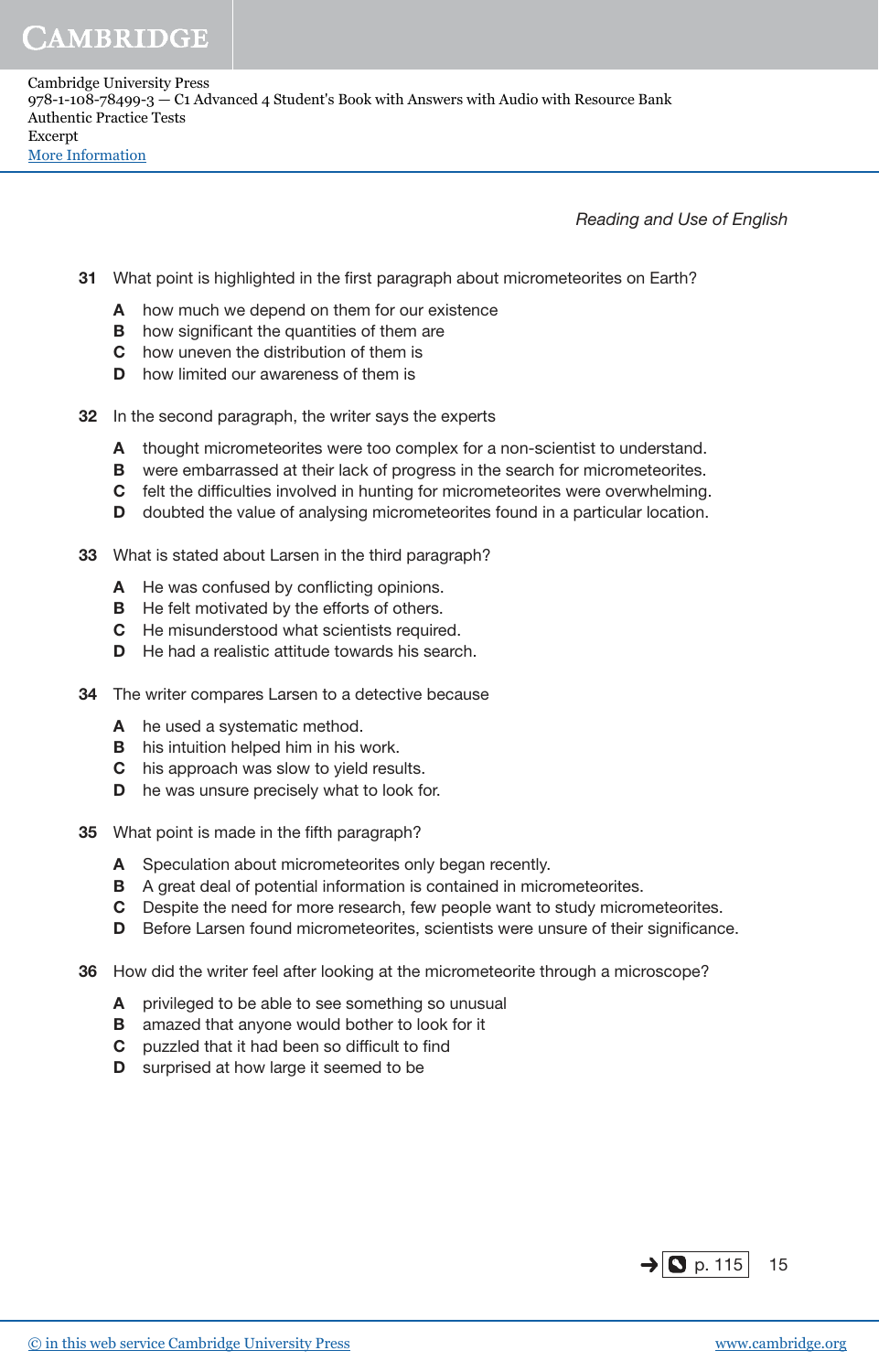Reading and Use of English

- 31 What point is highlighted in the first paragraph about micrometeorites on Earth?
	- A how much we depend on them for our existence
	- **B** how significant the quantities of them are
	- C how uneven the distribution of them is
	- **D** how limited our awareness of them is
- 32 In the second paragraph, the writer says the experts
	- A thought micrometeorites were too complex for a non-scientist to understand.
	- **B** were embarrassed at their lack of progress in the search for micrometeorites.
	- C felt the difficulties involved in hunting for micrometeorites were overwhelming.
	- D doubted the value of analysing micrometeorites found in a particular location.
- 33 What is stated about Larsen in the third paragraph?
	- A He was confused by conflicting opinions.
	- **B** He felt motivated by the efforts of others.
	- C He misunderstood what scientists required.
	- D He had a realistic attitude towards his search.
- 34 The writer compares Larsen to a detective because
	- A he used a systematic method.
	- **B** his intuition helped him in his work.
	- C his approach was slow to yield results.
	- **D** he was unsure precisely what to look for.
- 35 What point is made in the fifth paragraph?
	- A Speculation about micrometeorites only began recently.
	- B A great deal of potential information is contained in micrometeorites.
	- C Despite the need for more research, few people want to study micrometeorites.
	- D Before Larsen found micrometeorites, scientists were unsure of their significance.
- 36 How did the writer feel after looking at the micrometeorite through a microscope?
	- A privileged to be able to see something so unusual
	- **B** amazed that anyone would bother to look for it
	- C puzzled that it had been so difficult to find
	- **D** surprised at how large it seemed to be

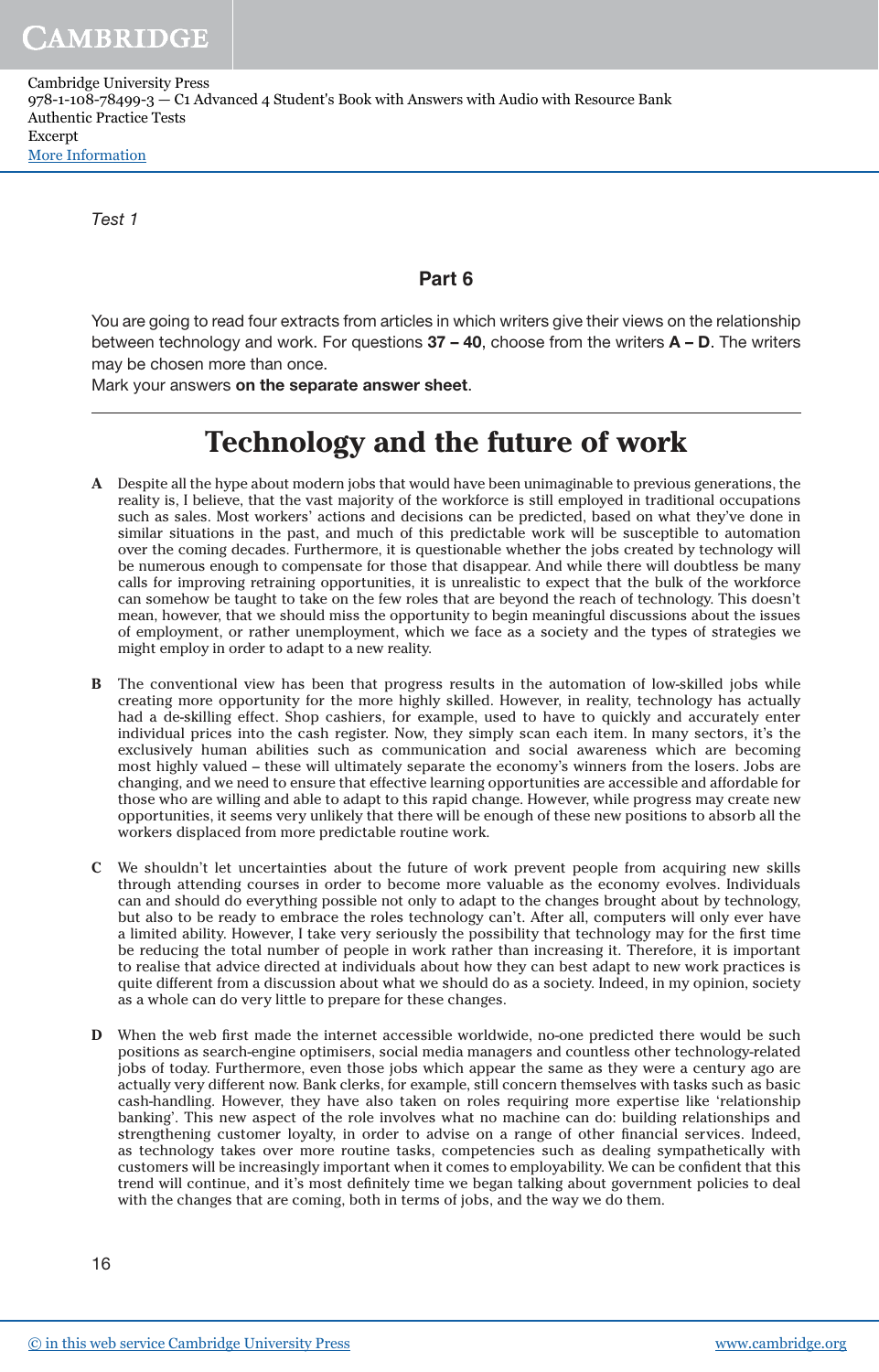Cambridge University Press 978-1-108-78499-3 — C1 Advanced 4 Student's Book with Answers with Audio with Resource Bank Authentic Practice Tests Excerpt [More Information](www.cambridge.org/9781108784993)

Test 1

## **Part 6**

You are going to read four extracts from articles in which writers give their views on the relationship between technology and work. For questions  $37 - 40$ , choose from the writers  $A - D$ . The writers may be chosen more than once.

Mark your answers on the separate answer sheet.

## **Technology and the future of work**

- **A** Despite all the hype about modern jobs that would have been unimaginable to previous generations, the reality is, I believe, that the vast majority of the workforce is still employed in traditional occupations such as sales. Most workers' actions and decisions can be predicted, based on what they've done in similar situations in the past, and much of this predictable work will be susceptible to automation over the coming decades. Furthermore, it is questionable whether the jobs created by technology will be numerous enough to compensate for those that disappear. And while there will doubtless be many calls for improving retraining opportunities, it is unrealistic to expect that the bulk of the workforce can somehow be taught to take on the few roles that are beyond the reach of technology. This doesn't mean, however, that we should miss the opportunity to begin meaningful discussions about the issues of employment, or rather unemployment, which we face as a society and the types of strategies we might employ in order to adapt to a new reality.
- **B** The conventional view has been that progress results in the automation of low-skilled jobs while creating more opportunity for the more highly skilled. However, in reality, technology has actually had a de-skilling effect. Shop cashiers, for example, used to have to quickly and accurately enter individual prices into the cash register. Now, they simply scan each item. In many sectors, it's the exclusively human abilities such as communication and social awareness which are becoming most highly valued – these will ultimately separate the economy's winners from the losers. Jobs are changing, and we need to ensure that effective learning opportunities are accessible and affordable for those who are willing and able to adapt to this rapid change. However, while progress may create new opportunities, it seems very unlikely that there will be enough of these new positions to absorb all the workers displaced from more predictable routine work.
- **C** We shouldn't let uncertainties about the future of work prevent people from acquiring new skills through attending courses in order to become more valuable as the economy evolves. Individuals can and should do everything possible not only to adapt to the changes brought about by technology, but also to be ready to embrace the roles technology can't. After all, computers will only ever have a limited ability. However, I take very seriously the possibility that technology may for the first time be reducing the total number of people in work rather than increasing it. Therefore, it is important to realise that advice directed at individuals about how they can best adapt to new work practices is quite different from a discussion about what we should do as a society. Indeed, in my opinion, society as a whole can do very little to prepare for these changes.
- **D** When the web first made the internet accessible worldwide, no-one predicted there would be such positions as search-engine optimisers, social media managers and countless other technology-related jobs of today. Furthermore, even those jobs which appear the same as they were a century ago are actually very different now. Bank clerks, for example, still concern themselves with tasks such as basic cash-handling. However, they have also taken on roles requiring more expertise like 'relationship banking'. This new aspect of the role involves what no machine can do: building relationships and strengthening customer loyalty, in order to advise on a range of other financial services. Indeed, as technology takes over more routine tasks, competencies such as dealing sympathetically with customers will be increasingly important when it comes to employability. We can be confident that this trend will continue, and it's most definitely time we began talking about government policies to deal with the changes that are coming, both in terms of jobs, and the way we do them.